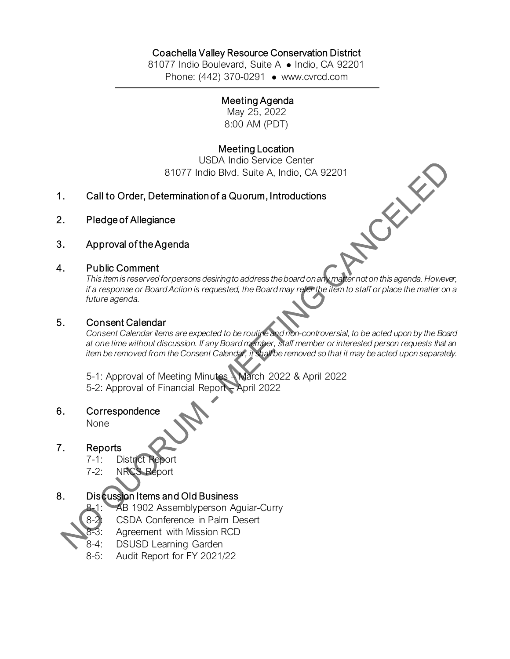## Coachella Valley Resource Conservation District

81077 Indio Boulevard, Suite A · Indio, CA 92201 Phone: (442) 370-0291 • [www.cvrcd.com](http://www.cvrcd.com/)

#### Meeting Agenda

May 25, 2022 8:00 AM (PDT)

### Meeting Location

USDA Indio Service Center 81077 Indio Blvd. Suite A, Indio, CA 92201<br>ermination of a Quorum, Introductions<br>ce<br>genda

- 1. Call to Order, Determination of a Quorum, Introductions
- 2. Pledge of Allegiance
- 3. Approval of the Agenda

### 4. Public Comment

*This item is reserved for persons desiring to address the board on any matter not on this agenda. However, if a response or Board Action is requested, the Board may refer the item to staff or place the matter on a future agenda.*

#### 5. Consent Calendar

*Consent Calendar items are expected to be routine and non-controversial, to be acted upon by the Board at one time without discussion. If any Board member, staff member or interested person requests that an item be removed from the Consent Calendar, it shall be removed so that it may be acted upon separately.*

5-1: Approval of Meeting Minutes – March 2022 & April 2022 5-2: Approval of Financial Report – April 2022

6. Correspondence

None

## 7. Reports

- 7-1: District Report
- 7-2: NRCS Report

## 8. Discussion Items and Old Business

- AB 1902 Assemblyperson Aguiar-Curry
- 8-2: CSDA Conference in Palm Desert
	- Agreement with Mission RCD
- 8-4: DSUSD Learning Garden
- 8-5: Audit Report for FY 2021/22